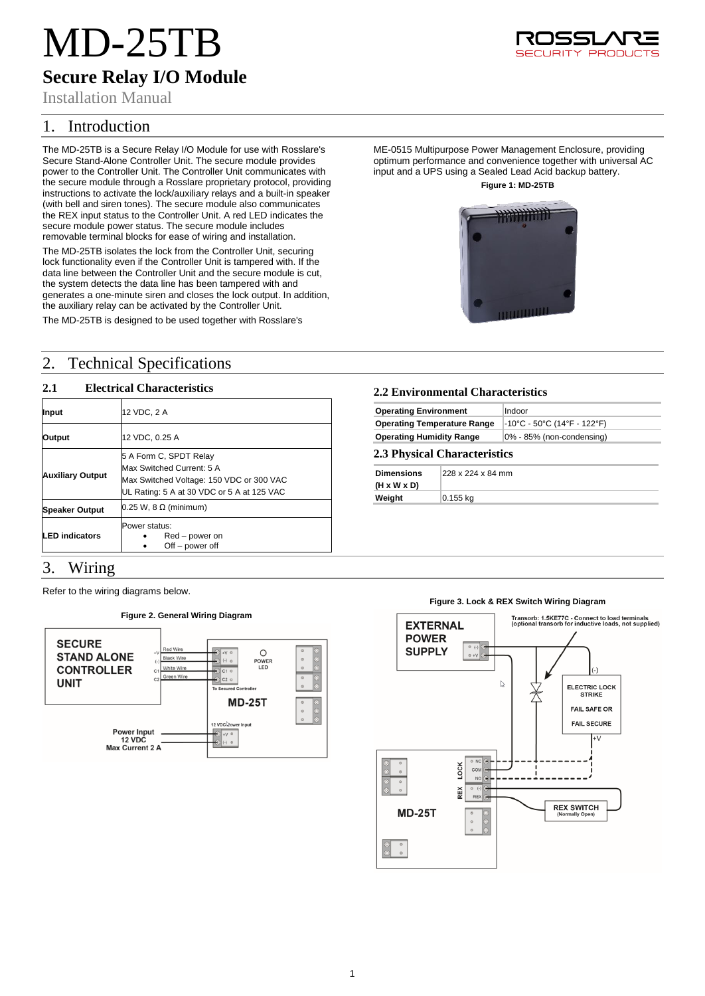# MD-25TB

# **Secure Relay I/O Module**

Installation Manual

# 1. Introduction

The MD-25TB is a Secure Relay I/O Module for use with Rosslare's Secure Stand-Alone Controller Unit. The secure module provides power to the Controller Unit. The Controller Unit communicates with the secure module through a Rosslare proprietary protocol, providing instructions to activate the lock/auxiliary relays and a built-in speaker (with bell and siren tones). The secure module also communicates the REX input status to the Controller Unit. A red LED indicates the secure module power status. The secure module includes removable terminal blocks for ease of wiring and installation.

The MD-25TB isolates the lock from the Controller Unit, securing lock functionality even if the Controller Unit is tampered with. If the data line between the Controller Unit and the secure module is cut, the system detects the data line has been tampered with and generates a one-minute siren and closes the lock output. In addition, the auxiliary relay can be activated by the Controller Unit.

The MD-25TB is designed to be used together with Rosslare's

# 2. Technical Specifications

# **2.1 Electrical Characteristics**

| Input                   | 12 VDC, 2 A                                                                                                                                   |
|-------------------------|-----------------------------------------------------------------------------------------------------------------------------------------------|
| Output                  | 12 VDC, 0.25 A                                                                                                                                |
| <b>Auxiliary Output</b> | 5 A Form C, SPDT Relay<br>Max Switched Current: 5 A<br>Max Switched Voltage: 150 VDC or 300 VAC<br>UL Rating: 5 A at 30 VDC or 5 A at 125 VAC |
| <b>Speaker Output</b>   | $0.25$ W, 8 $\Omega$ (minimum)                                                                                                                |
| <b>LED</b> indicators   | Power status:<br>Red – power on<br>$Off - power$ off                                                                                          |

# 3. Wiring

Refer to the wiring diagrams below.

#### **Figure 2. General Wiring Diagram SECURE** Red Win  $\circ$ **STAND ALONE** Black Wire POWER<br>LED **CONTROLLER** White Wire **UNIT MD-25T** 12 VDC $\&$ o **Power Input** 12 VDC<br>. 12 VDC<br>Max Current 2 A

# **2.2 Environmental Characteristics Operating Environment** | Indoor **Operating Temperature Range -10°C - 50°C (14°F - 122°F) Operating Humidity Range** 0% - 85% (non-condensing) **2.3 Physical Characteristics**

### **Dimensions (H x W x D)** 228 x 224 x 84 mm

**Weight** 0.155 kg

# **Figure 3. Lock & REX Switch Wiring Diagram**





ME-0515 Multipurpose Power Management Enclosure, providing optimum performance and convenience together with universal AC input and a UPS using a Sealed Lead Acid backup battery. **Figure 1: MD-25TB**

# **PHYTHTITI**